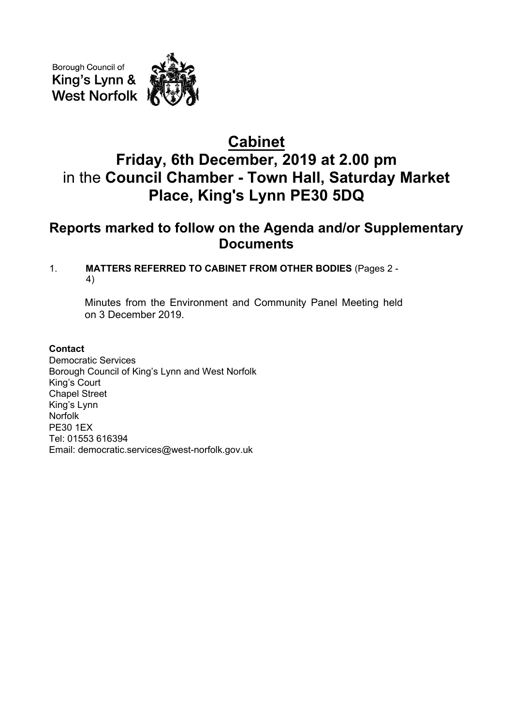Borough Council of King's Lynn & **West Norfolk** 

# **Cabinet Friday, 6th December, 2019 at 2.00 pm** in the **Council Chamber - Town Hall, Saturday Market Place, King's Lynn PE30 5DQ**

## **Reports marked to follow on the Agenda and/or Supplementary Documents**

### 1. **MATTERS REFERRED TO CABINET FROM OTHER BODIES** (Pages 2 - 4)

Minutes from the Environment and Community Panel Meeting held on 3 December 2019.

#### **Contact**

Democratic Services Borough Council of King's Lynn and West Norfolk King's Court Chapel Street King's Lynn Norfolk PE30 1EX Tel: 01553 616394 Email: democratic.services@west-norfolk.gov.uk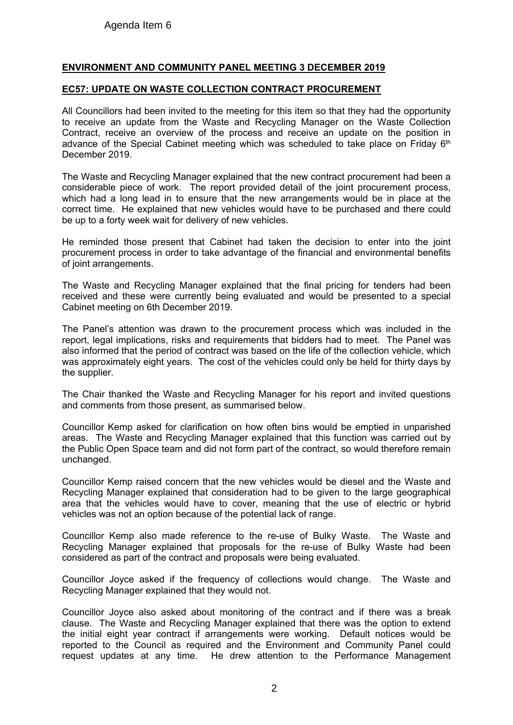#### **ENVIRONMENT AND COMMUNITY PANEL MEETING 3 DECEMBER 2019**

#### **EC57: UPDATE ON WASTE COLLECTION CONTRACT PROCUREMENT**

All Councillors had been invited to the meeting for this item so that they had the opportunity to receive an update from the Waste and Recycling Manager on the Waste Collection Contract, receive an overview of the process and receive an update on the position in advance of the Special Cabinet meeting which was scheduled to take place on Friday 6<sup>th</sup> December 2019.

The Waste and Recycling Manager explained that the new contract procurement had been a considerable piece of work. The report provided detail of the joint procurement process, which had a long lead in to ensure that the new arrangements would be in place at the correct time. He explained that new vehicles would have to be purchased and there could be up to a forty week wait for delivery of new vehicles.

He reminded those present that Cabinet had taken the decision to enter into the joint procurement process in order to take advantage of the financial and environmental benefits of joint arrangements.

The Waste and Recycling Manager explained that the final pricing for tenders had been received and these were currently being evaluated and would be presented to a special Cabinet meeting on 6th December 2019.

The Panel's attention was drawn to the procurement process which was included in the report, legal implications, risks and requirements that bidders had to meet. The Panel was also informed that the period of contract was based on the life of the collection vehicle, which was approximately eight years. The cost of the vehicles could only be held for thirty days by the supplier.

The Chair thanked the Waste and Recycling Manager for his report and invited questions and comments from those present, as summarised below.

Councillor Kemp asked for clarification on how often bins would be emptied in unparished areas. The Waste and Recycling Manager explained that this function was carried out by the Public Open Space team and did not form part of the contract, so would therefore remain unchanged.

Councillor Kemp raised concern that the new vehicles would be diesel and the Waste and Recycling Manager explained that consideration had to be given to the large geographical area that the vehicles would have to cover, meaning that the use of electric or hybrid vehicles was not an option because of the potential lack of range.

Councillor Kemp also made reference to the re-use of Bulky Waste. The Waste and Recycling Manager explained that proposals for the re-use of Bulky Waste had been considered as part of the contract and proposals were being evaluated.

Councillor Joyce asked if the frequency of collections would change. The Waste and Recycling Manager explained that they would not.

Councillor Joyce also asked about monitoring of the contract and if there was a break clause. The Waste and Recycling Manager explained that there was the option to extend the initial eight year contract if arrangements were working. Default notices would be reported to the Council as required and the Environment and Community Panel could request updates at any time. He drew attention to the Performance Management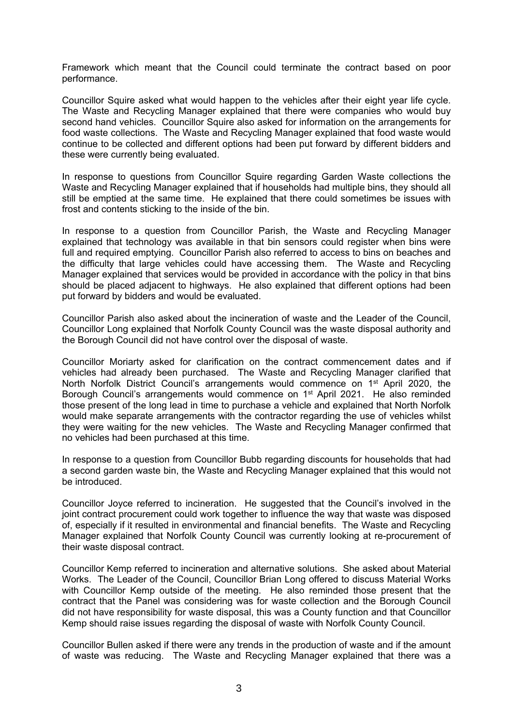Framework which meant that the Council could terminate the contract based on poor performance.

Councillor Squire asked what would happen to the vehicles after their eight year life cycle. The Waste and Recycling Manager explained that there were companies who would buy second hand vehicles. Councillor Squire also asked for information on the arrangements for food waste collections. The Waste and Recycling Manager explained that food waste would continue to be collected and different options had been put forward by different bidders and these were currently being evaluated.

In response to questions from Councillor Squire regarding Garden Waste collections the Waste and Recycling Manager explained that if households had multiple bins, they should all still be emptied at the same time. He explained that there could sometimes be issues with frost and contents sticking to the inside of the bin.

In response to a question from Councillor Parish, the Waste and Recycling Manager explained that technology was available in that bin sensors could register when bins were full and required emptying. Councillor Parish also referred to access to bins on beaches and the difficulty that large vehicles could have accessing them. The Waste and Recycling Manager explained that services would be provided in accordance with the policy in that bins should be placed adjacent to highways. He also explained that different options had been put forward by bidders and would be evaluated.

Councillor Parish also asked about the incineration of waste and the Leader of the Council, Councillor Long explained that Norfolk County Council was the waste disposal authority and the Borough Council did not have control over the disposal of waste.

Councillor Moriarty asked for clarification on the contract commencement dates and if vehicles had already been purchased. The Waste and Recycling Manager clarified that North Norfolk District Council's arrangements would commence on 1<sup>st</sup> April 2020, the Borough Council's arrangements would commence on 1<sup>st</sup> April 2021. He also reminded those present of the long lead in time to purchase a vehicle and explained that North Norfolk would make separate arrangements with the contractor regarding the use of vehicles whilst they were waiting for the new vehicles. The Waste and Recycling Manager confirmed that no vehicles had been purchased at this time.

In response to a question from Councillor Bubb regarding discounts for households that had a second garden waste bin, the Waste and Recycling Manager explained that this would not be introduced.

Councillor Joyce referred to incineration. He suggested that the Council's involved in the joint contract procurement could work together to influence the way that waste was disposed of, especially if it resulted in environmental and financial benefits. The Waste and Recycling Manager explained that Norfolk County Council was currently looking at re-procurement of their waste disposal contract.

Councillor Kemp referred to incineration and alternative solutions. She asked about Material Works. The Leader of the Council, Councillor Brian Long offered to discuss Material Works with Councillor Kemp outside of the meeting. He also reminded those present that the contract that the Panel was considering was for waste collection and the Borough Council did not have responsibility for waste disposal, this was a County function and that Councillor Kemp should raise issues regarding the disposal of waste with Norfolk County Council.

Councillor Bullen asked if there were any trends in the production of waste and if the amount of waste was reducing. The Waste and Recycling Manager explained that there was a